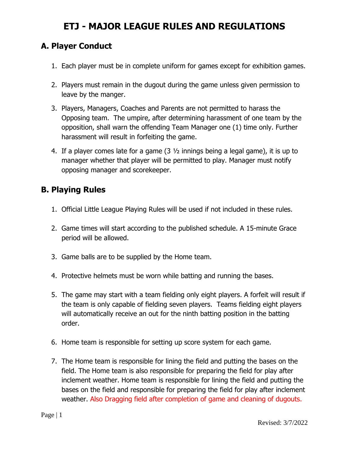### **A. Player Conduct**

- 1. Each player must be in complete uniform for games except for exhibition games.
- 2. Players must remain in the dugout during the game unless given permission to leave by the manger.
- 3. Players, Managers, Coaches and Parents are not permitted to harass the Opposing team. The umpire, after determining harassment of one team by the opposition, shall warn the offending Team Manager one (1) time only. Further harassment will result in forfeiting the game.
- 4. If a player comes late for a game (3 ½ innings being a legal game), it is up to manager whether that player will be permitted to play. Manager must notify opposing manager and scorekeeper.

### **B. Playing Rules**

- 1. Official Little League Playing Rules will be used if not included in these rules.
- 2. Game times will start according to the published schedule. A 15-minute Grace period will be allowed.
- 3. Game balls are to be supplied by the Home team.
- 4. Protective helmets must be worn while batting and running the bases.
- 5. The game may start with a team fielding only eight players. A forfeit will result if the team is only capable of fielding seven players. Teams fielding eight players will automatically receive an out for the ninth batting position in the batting order.
- 6. Home team is responsible for setting up score system for each game.
- 7. The Home team is responsible for lining the field and putting the bases on the field. The Home team is also responsible for preparing the field for play after inclement weather. Home team is responsible for lining the field and putting the bases on the field and responsible for preparing the field for play after inclement weather. Also Dragging field after completion of game and cleaning of dugouts.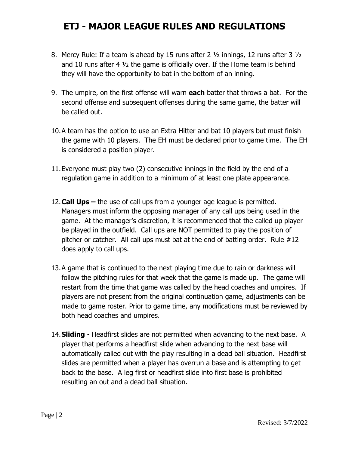- 8. Mercy Rule: If a team is ahead by 15 runs after 2 ½ innings, 12 runs after 3 ½ and 10 runs after 4 ½ the game is officially over. If the Home team is behind they will have the opportunity to bat in the bottom of an inning.
- 9. The umpire, on the first offense will warn **each** batter that throws a bat. For the second offense and subsequent offenses during the same game, the batter will be called out.
- 10.A team has the option to use an Extra Hitter and bat 10 players but must finish the game with 10 players. The EH must be declared prior to game time. The EH is considered a position player.
- 11.Everyone must play two (2) consecutive innings in the field by the end of a regulation game in addition to a minimum of at least one plate appearance.
- 12.**Call Ups –** the use of call ups from a younger age league is permitted. Managers must inform the opposing manager of any call ups being used in the game. At the manager's discretion, it is recommended that the called up player be played in the outfield. Call ups are NOT permitted to play the position of pitcher or catcher. All call ups must bat at the end of batting order. Rule #12 does apply to call ups.
- 13.A game that is continued to the next playing time due to rain or darkness will follow the pitching rules for that week that the game is made up. The game will restart from the time that game was called by the head coaches and umpires. If players are not present from the original continuation game, adjustments can be made to game roster. Prior to game time, any modifications must be reviewed by both head coaches and umpires.
- 14.**Sliding** Headfirst slides are not permitted when advancing to the next base. A player that performs a headfirst slide when advancing to the next base will automatically called out with the play resulting in a dead ball situation. Headfirst slides are permitted when a player has overrun a base and is attempting to get back to the base. A leg first or headfirst slide into first base is prohibited resulting an out and a dead ball situation.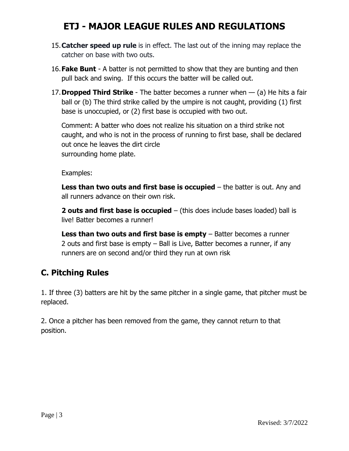- 15.**Catcher speed up rule** is in effect. The last out of the inning may replace the catcher on base with two outs.
- 16.**Fake Bunt** A batter is not permitted to show that they are bunting and then pull back and swing. If this occurs the batter will be called out.
- 17.**Dropped Third Strike** The batter becomes a runner when (a) He hits a fair ball or (b) The third strike called by the umpire is not caught, providing (1) first base is unoccupied, or (2) first base is occupied with two out.

Comment: A batter who does not realize his situation on a third strike not caught, and who is not in the process of running to first base, shall be declared out once he leaves the dirt circle surrounding home plate.

Examples:

**Less than two outs and first base is occupied** – the batter is out. Any and all runners advance on their own risk.

**2 outs and first base is occupied** – (this does include bases loaded) ball is live! Batter becomes a runner!

**Less than two outs and first base is empty** – Batter becomes a runner 2 outs and first base is empty – Ball is Live, Batter becomes a runner, if any runners are on second and/or third they run at own risk

### **C. Pitching Rules**

1. If three (3) batters are hit by the same pitcher in a single game, that pitcher must be replaced.

2. Once a pitcher has been removed from the game, they cannot return to that position.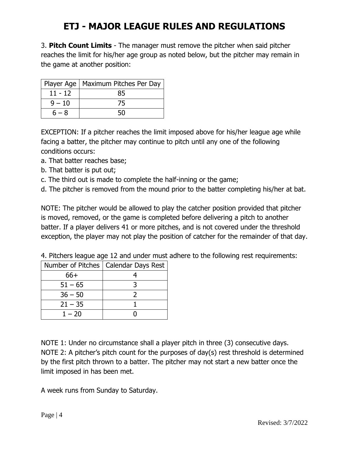3. **Pitch Count Limits** - The manager must remove the pitcher when said pitcher reaches the limit for his/her age group as noted below, but the pitcher may remain in the game at another position:

|           | Player Age   Maximum Pitches Per Day |
|-----------|--------------------------------------|
| $11 - 12$ |                                      |
| $9 - 10$  | 75                                   |
| $6 - 8$   |                                      |

EXCEPTION: If a pitcher reaches the limit imposed above for his/her league age while facing a batter, the pitcher may continue to pitch until any one of the following conditions occurs:

- a. That batter reaches base;
- b. That batter is put out;
- c. The third out is made to complete the half-inning or the game;
- d. The pitcher is removed from the mound prior to the batter completing his/her at bat.

NOTE: The pitcher would be allowed to play the catcher position provided that pitcher is moved, removed, or the game is completed before delivering a pitch to another batter. If a player delivers 41 or more pitches, and is not covered under the threshold exception, the player may not play the position of catcher for the remainder of that day.

|  |  |  |  |  |  |  |  |  |  | 4. Pitchers league age 12 and under must adhere to the following rest requirements: |  |
|--|--|--|--|--|--|--|--|--|--|-------------------------------------------------------------------------------------|--|
|--|--|--|--|--|--|--|--|--|--|-------------------------------------------------------------------------------------|--|

|           | Number of Pitches   Calendar Days Rest |  |  |  |  |
|-----------|----------------------------------------|--|--|--|--|
| 66+       |                                        |  |  |  |  |
| $51 - 65$ |                                        |  |  |  |  |
| $36 - 50$ |                                        |  |  |  |  |
| $21 - 35$ |                                        |  |  |  |  |
| $1 - 20$  |                                        |  |  |  |  |

NOTE 1: Under no circumstance shall a player pitch in three (3) consecutive days. NOTE 2: A pitcher's pitch count for the purposes of day(s) rest threshold is determined by the first pitch thrown to a batter. The pitcher may not start a new batter once the limit imposed in has been met.

A week runs from Sunday to Saturday.